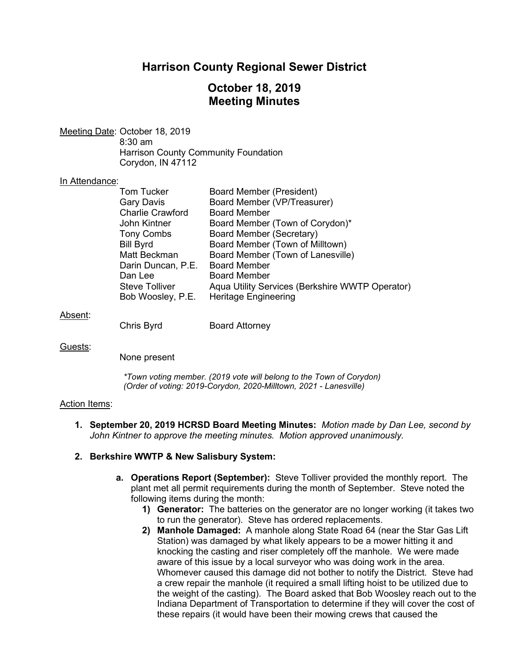# **Harrison County Regional Sewer District**

# **October 18, 2019 Meeting Minutes**

Meeting Date: October 18, 2019 8:30 am Harrison County Community Foundation Corydon, IN 47112

#### In Attendance:

| <b>Tom Tucker</b>               | <b>Board Member (President)</b>                 |
|---------------------------------|-------------------------------------------------|
| <b>Gary Davis</b>               | Board Member (VP/Treasurer)                     |
| <b>Charlie Crawford</b>         | <b>Board Member</b>                             |
| John Kintner                    | Board Member (Town of Corydon)*                 |
| <b>Tony Combs</b>               | Board Member (Secretary)                        |
| <b>Bill Byrd</b>                | Board Member (Town of Milltown)                 |
| Matt Beckman                    | Board Member (Town of Lanesville)               |
| Darin Duncan, P.E. Board Member |                                                 |
| Dan Lee                         | <b>Board Member</b>                             |
| <b>Steve Tolliver</b>           | Aqua Utility Services (Berkshire WWTP Operator) |
| Bob Woosley, P.E.               | <b>Heritage Engineering</b>                     |
|                                 |                                                 |

#### Absent:

Chris Byrd Board Attorney

#### Guests:

None present

*\*Town voting member. (2019 vote will belong to the Town of Corydon) (Order of voting: 2019-Corydon, 2020-Milltown, 2021 - Lanesville)*

#### Action Items:

**1. September 20, 2019 HCRSD Board Meeting Minutes:** *Motion made by Dan Lee, second by John Kintner to approve the meeting minutes. Motion approved unanimously.*

#### **2. Berkshire WWTP & New Salisbury System:**

- **a. Operations Report (September):** Steve Tolliver provided the monthly report. The plant met all permit requirements during the month of September. Steve noted the following items during the month:
	- **1) Generator:** The batteries on the generator are no longer working (it takes two to run the generator). Steve has ordered replacements.
	- **2) Manhole Damaged:** A manhole along State Road 64 (near the Star Gas Lift Station) was damaged by what likely appears to be a mower hitting it and knocking the casting and riser completely off the manhole. We were made aware of this issue by a local surveyor who was doing work in the area. Whomever caused this damage did not bother to notify the District. Steve had a crew repair the manhole (it required a small lifting hoist to be utilized due to the weight of the casting). The Board asked that Bob Woosley reach out to the Indiana Department of Transportation to determine if they will cover the cost of these repairs (it would have been their mowing crews that caused the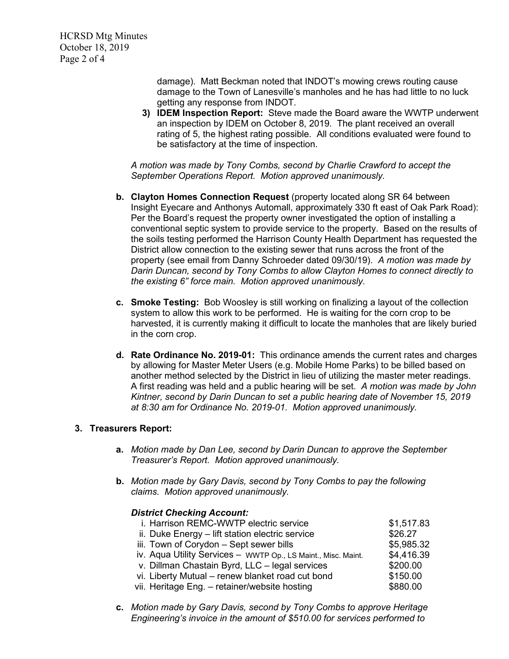HCRSD Mtg Minutes October 18, 2019 Page 2 of 4

> damage). Matt Beckman noted that INDOT's mowing crews routing cause damage to the Town of Lanesville's manholes and he has had little to no luck getting any response from INDOT.

**3) IDEM Inspection Report:** Steve made the Board aware the WWTP underwent an inspection by IDEM on October 8, 2019. The plant received an overall rating of 5, the highest rating possible. All conditions evaluated were found to be satisfactory at the time of inspection.

*A motion was made by Tony Combs, second by Charlie Crawford to accept the September Operations Report. Motion approved unanimously.*

- **b. Clayton Homes Connection Request** (property located along SR 64 between Insight Eyecare and Anthonys Automall, approximately 330 ft east of Oak Park Road): Per the Board's request the property owner investigated the option of installing a conventional septic system to provide service to the property. Based on the results of the soils testing performed the Harrison County Health Department has requested the District allow connection to the existing sewer that runs across the front of the property (see email from Danny Schroeder dated 09/30/19). *A motion was made by Darin Duncan, second by Tony Combs to allow Clayton Homes to connect directly to the existing 6" force main. Motion approved unanimously.*
- **c. Smoke Testing:** Bob Woosley is still working on finalizing a layout of the collection system to allow this work to be performed. He is waiting for the corn crop to be harvested, it is currently making it difficult to locate the manholes that are likely buried in the corn crop.
- **d. Rate Ordinance No. 2019-01:** This ordinance amends the current rates and charges by allowing for Master Meter Users (e.g. Mobile Home Parks) to be billed based on another method selected by the District in lieu of utilizing the master meter readings. A first reading was held and a public hearing will be set. *A motion was made by John Kintner, second by Darin Duncan to set a public hearing date of November 15, 2019 at 8:30 am for Ordinance No. 2019-01. Motion approved unanimously.*

## **3. Treasurers Report:**

- **a.** *Motion made by Dan Lee, second by Darin Duncan to approve the September Treasurer's Report. Motion approved unanimously.*
- **b.** *Motion made by Gary Davis, second by Tony Combs to pay the following claims. Motion approved unanimously.*

## *District Checking Account:*

| i. Harrison REMC-WWTP electric service                        | \$1,517.83 |
|---------------------------------------------------------------|------------|
| ii. Duke Energy - lift station electric service               | \$26.27    |
| iii. Town of Corydon - Sept sewer bills                       | \$5,985.32 |
| iv. Aqua Utility Services - WWTP Op., LS Maint., Misc. Maint. | \$4,416.39 |
| v. Dillman Chastain Byrd, LLC - legal services                | \$200.00   |
| vi. Liberty Mutual - renew blanket road cut bond              | \$150.00   |
| vii. Heritage Eng. - retainer/website hosting                 | \$880.00   |
|                                                               |            |

**c.** *Motion made by Gary Davis, second by Tony Combs to approve Heritage Engineering's invoice in the amount of \$510.00 for services performed to*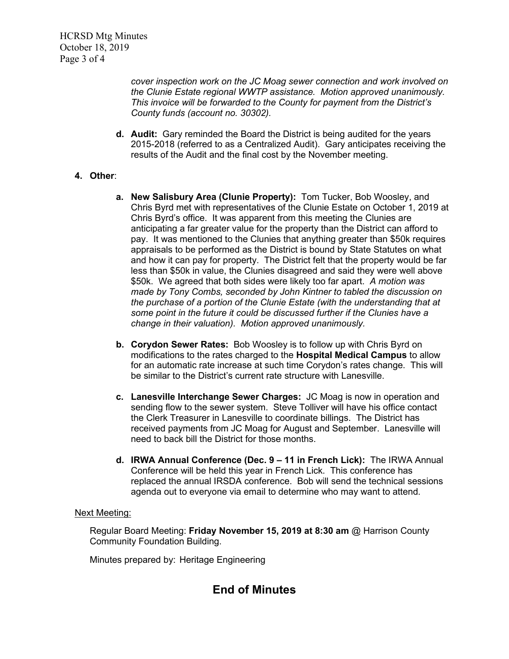*cover inspection work on the JC Moag sewer connection and work involved on the Clunie Estate regional WWTP assistance. Motion approved unanimously. This invoice will be forwarded to the County for payment from the District's County funds (account no. 30302).*

**d. Audit:** Gary reminded the Board the District is being audited for the years 2015-2018 (referred to as a Centralized Audit). Gary anticipates receiving the results of the Audit and the final cost by the November meeting.

# **4. Other**:

- **a. New Salisbury Area (Clunie Property):** Tom Tucker, Bob Woosley, and Chris Byrd met with representatives of the Clunie Estate on October 1, 2019 at Chris Byrd's office. It was apparent from this meeting the Clunies are anticipating a far greater value for the property than the District can afford to pay. It was mentioned to the Clunies that anything greater than \$50k requires appraisals to be performed as the District is bound by State Statutes on what and how it can pay for property. The District felt that the property would be far less than \$50k in value, the Clunies disagreed and said they were well above \$50k. We agreed that both sides were likely too far apart. *A motion was made by Tony Combs, seconded by John Kintner to tabled the discussion on the purchase of a portion of the Clunie Estate (with the understanding that at some point in the future it could be discussed further if the Clunies have a change in their valuation). Motion approved unanimously.*
- **b. Corydon Sewer Rates:** Bob Woosley is to follow up with Chris Byrd on modifications to the rates charged to the **Hospital Medical Campus** to allow for an automatic rate increase at such time Corydon's rates change. This will be similar to the District's current rate structure with Lanesville.
- **c. Lanesville Interchange Sewer Charges:** JC Moag is now in operation and sending flow to the sewer system. Steve Tolliver will have his office contact the Clerk Treasurer in Lanesville to coordinate billings. The District has received payments from JC Moag for August and September. Lanesville will need to back bill the District for those months.
- **d. IRWA Annual Conference (Dec. 9 – 11 in French Lick):** The IRWA Annual Conference will be held this year in French Lick. This conference has replaced the annual IRSDA conference. Bob will send the technical sessions agenda out to everyone via email to determine who may want to attend.

## Next Meeting:

Regular Board Meeting: **Friday November 15, 2019 at 8:30 am** @ Harrison County Community Foundation Building.

Minutes prepared by: Heritage Engineering

# **End of Minutes**